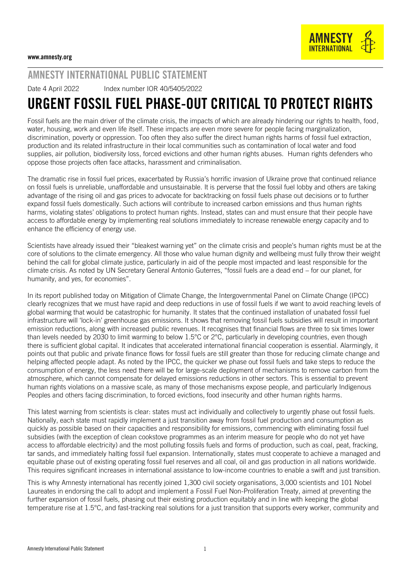

## AMNESTY INTERNATIONAL PUBLIC STATEMENT

Date 4 April 2022 lndex number IOR 40/5405/2022

## URGENT FOSSIL FUEL PHASE-OUT CRITICAL TO PROTECT RIGHTS

Fossil fuels are the main driver of the climate crisis, the impacts of which are already hindering our rights to health, food, water, housing, work and even life itself. These impacts are even more severe for people facing marginalization, discrimination, poverty or oppression. Too often they also suffer the direct human rights harms of fossil fuel extraction, production and its related infrastructure in their local communities such as contamination of local water and food supplies, air pollution, biodiversity loss, forced evictions and other human rights abuses. Human rights defenders who oppose those projects often face attacks, harassment and criminalisation.

The dramatic rise in fossil fuel prices, exacerbated by Russia's horrific invasion of Ukraine prove that continued reliance on fossil fuels is unreliable, unaffordable and unsustainable. It is perverse that the fossil fuel lobby and others are taking advantage of the rising oil and gas prices to advocate for backtracking on fossil fuels phase out decisions or to further expand fossil fuels domestically. Such actions will contribute to increased carbon emissions and thus human rights harms, violating states' obligations to protect human rights. Instead, states can and must ensure that their people have access to affordable energy by implementing real solutions immediately to increase renewable energy capacity and to enhance the efficiency of energy use.

Scientists have already issued their "bleakest warning yet" on the climate crisis and people's human rights must be at the core of solutions to the climate emergency. All those who value human dignity and wellbeing must fully throw their weight behind the call for global climate justice, particularly in aid of the people most impacted and least responsible for the climate crisis. As [noted](https://www.un.org/sg/en/node/262102) by UN Secretary General Antonio Guterres, "fossil fuels are a dead end – for our planet, for humanity, and yes, for economies".

In its report published today on Mitigation of Climate Change, the Intergovernmental Panel on Climate Change (IPCC) clearly recognizes that we must have rapid and deep reductions in use of fossil fuels if we want to avoid reaching levels of global warming that would be catastrophic for humanity. It states that the continued installation of unabated fossil fuel infrastructure will 'lock-in' greenhouse gas emissions. It shows that removing fossil fuels subsidies will result in important emission reductions, along with increased public revenues. It recognises that financial flows are three to six times lower than levels needed by 2030 to limit warming to below 1.5°C or 2°C, particularly in developing countries, even though there is sufficient global capital. It indicates that accelerated international financial cooperation is essential. Alarmingly, it points out that public and private finance flows for fossil fuels are still greater than those for reducing climate change and helping affected people adapt. As noted by the IPCC, the quicker we phase out fossil fuels and take steps to reduce the consumption of energy, the less need there will be for large-scale deployment of mechanisms to remove carbon from the atmosphere, which cannot compensate for delayed emissions reductions in other sectors. This is essential to prevent human rights violations on a massive scale, as many of those mechanisms expose people, and particularly Indigenous Peoples and others facing discrimination, to forced evictions, food insecurity and other human rights harms.

This latest warning from scientists is clear: states must act individually and collectively to urgently phase out fossil fuels. Nationally, each state must rapidly implement a just transition away from fossil fuel production and consumption as quickly as possible based on their capacities and responsibility for emissions, commencing with eliminating fossil fuel subsidies (with the exception of clean cookstove programmes as an interim measure for people who do not yet have access to affordable electricity) and the most polluting fossils fuels and forms of production, such as coal, peat, fracking, tar sands, and immediately halting fossil fuel expansion. Internationally, states must cooperate to achieve a managed and equitable phase out of existing operating fossil fuel reserves and all coal, oil and gas production in all nations worldwide. This requires significant increases in international assistance to low-income countries to enable a swift and just transition.

This is why Amnesty international has recently joined 1,300 civil society organisations, 3,000 scientists and 101 Nobel Laureates in endorsing the call to adopt and implement a [Fossil Fuel Non-Proliferation Treaty,](https://fossilfueltreaty.org/) aimed at preventing the further expansion of fossil fuels, phasing out their existing production equitably and in line with keeping the global temperature rise at 1.5°C, and fast-tracking real solutions for a just transition that supports every worker, community and